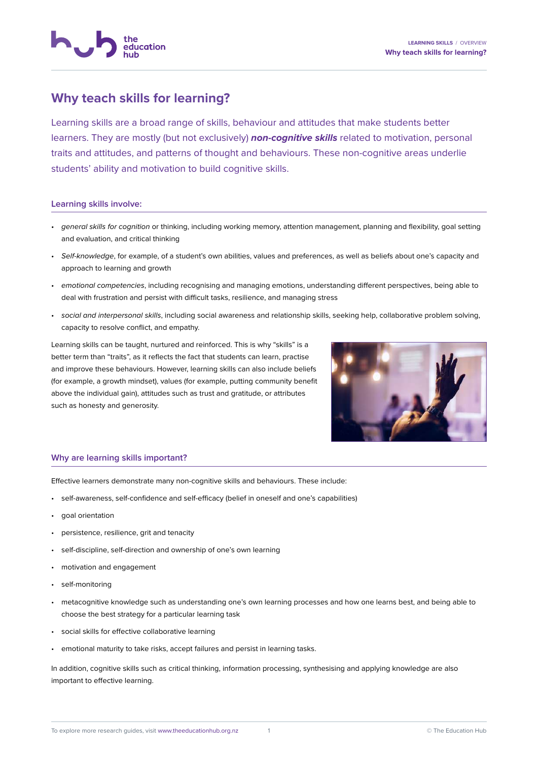

## **Why teach skills for learning?**

Learning skills are a broad range of skills, behaviour and attitudes that make students better learners. They are mostly (but not exclusively) **non-cognitive skills** related to motivation, personal traits and attitudes, and patterns of thought and behaviours. These non-cognitive areas underlie students' ability and motivation to build cognitive skills.

## **Learning skills involve:**

- general skills for cognition or thinking, including working memory, attention management, planning and flexibility, goal setting and evaluation, and critical thinking
- Self-knowledge, for example, of a student's own abilities, values and preferences, as well as beliefs about one's capacity and approach to learning and growth
- emotional competencies, including recognising and managing emotions, understanding different perspectives, being able to deal with frustration and persist with difficult tasks, resilience, and managing stress
- social and interpersonal skills, including social awareness and relationship skills, seeking help, collaborative problem solving. capacity to resolve conflict, and empathy.

Learning skills can be taught, nurtured and reinforced. This is why "skills" is a better term than "traits", as it reflects the fact that students can learn, practise and improve these behaviours. However, learning skills can also include beliefs (for example, a growth mindset), values (for example, putting community benefit above the individual gain), attitudes such as trust and gratitude, or attributes such as honesty and generosity.



## **Why are learning skills important?**

Effective learners demonstrate many non-cognitive skills and behaviours. These include:

- self-awareness, self-confidence and self-efficacy (belief in oneself and one's capabilities)
- goal orientation
- persistence, resilience, grit and tenacity
- self-discipline, self-direction and ownership of one's own learning
- motivation and engagement
- self-monitoring
- metacognitive knowledge such as understanding one's own learning processes and how one learns best, and being able to choose the best strategy for a particular learning task
- social skills for effective collaborative learning
- emotional maturity to take risks, accept failures and persist in learning tasks.

In addition, cognitive skills such as critical thinking, information processing, synthesising and applying knowledge are also important to effective learning.